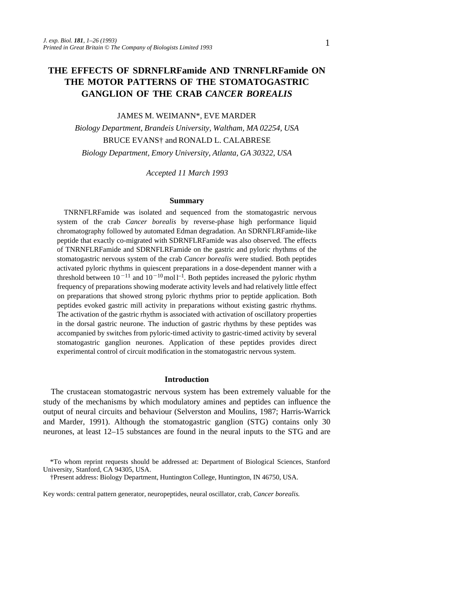# **THE EFFECTS OF SDRNFLRFamide AND TNRNFLRFamide ON THE MOTOR PATTERNS OF THE STOMATOGASTRIC GANGLION OF THE CRAB** *CANCER BOREALIS*

### JAMES M. WEIMANN\*, EVE MARDER

*Biology Department, Brandeis University, Waltham, MA 02254, USA* BRUCE EVANS† and RONALD L. CALABRESE *Biology Department, Emory University, Atlanta, GA 30322, USA*

*Accepted 11 March 1993*

### **Summary**

TNRNFLRFamide was isolated and sequenced from the stomatogastric nervous system of the crab *Cancer borealis* by reverse-phase high performance liquid chromatography followed by automated Edman degradation. An SDRNFLRFamide-like peptide that exactly co-migrated with SDRNFLRFamide was also observed. The effects of TNRNFLRFamide and SDRNFLRFamide on the gastric and pyloric rhythms of the stomatogastric nervous system of the crab *Cancer borealis* were studied. Both peptides activated pyloric rhythms in quiescent preparations in a dose-dependent manner with a threshold between  $10^{-11}$  and  $10^{-10}$  mol  $l^{-1}$ . Both peptides increased the pyloric rhythm frequency of preparations showing moderate activity levels and had relatively little effect on preparations that showed strong pyloric rhythms prior to peptide application. Both peptides evoked gastric mill activity in preparations without existing gastric rhythms. The activation of the gastric rhythm is associated with activation of oscillatory properties in the dorsal gastric neurone. The induction of gastric rhythms by these peptides was accompanied by switches from pyloric-timed activity to gastric-timed activity by several stomatogastric ganglion neurones. Application of these peptides provides direct experimental control of circuit modification in the stomatogastric nervous system.

#### **Introduction**

The crustacean stomatogastric nervous system has been extremely valuable for the study of the mechanisms by which modulatory amines and peptides can influence the output of neural circuits and behaviour (Selverston and Moulins, 1987; Harris-Warrick and Marder, 1991). Although the stomatogastric ganglion (STG) contains only 30 neurones, at least 12–15 substances are found in the neural inputs to the STG and are

Key words: central pattern generator, neuropeptides, neural oscillator, crab, *Cancer borealis*.

<sup>\*</sup>To whom reprint requests should be addressed at: Department of Biological Sciences, Stanford University, Stanford, CA 94305, USA.

<sup>†</sup>Present address: Biology Department, Huntington College, Huntington, IN 46750, USA.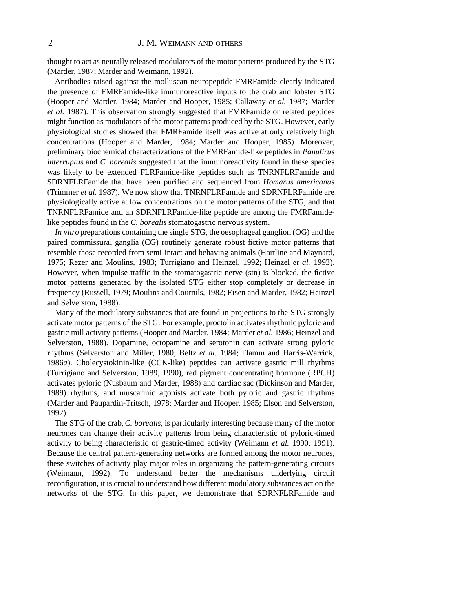thought to act as neurally released modulators of the motor patterns produced by the STG (Marder, 1987; Marder and Weimann, 1992).

Antibodies raised against the molluscan neuropeptide FMRFamide clearly indicated the presence of FMRFamide-like immunoreactive inputs to the crab and lobster STG (Hooper and Marder, 1984; Marder and Hooper, 1985; Callaway *et al.* 1987; Marder *et al.* 1987). This observation strongly suggested that FMRFamide or related peptides might function as modulators of the motor patterns produced by the STG. However, early physiological studies showed that FMRFamide itself was active at only relatively high concentrations (Hooper and Marder, 1984; Marder and Hooper, 1985). Moreover, preliminary biochemical characterizations of the FMRFamide-like peptides in *Panulirus interruptus* and *C. borealis* suggested that the immunoreactivity found in these species was likely to be extended FLRFamide-like peptides such as TNRNFLRFamide and SDRNFLRFamide that have been purified and sequenced from *Homarus americanus* (Trimmer *et al.* 1987). We now show that TNRNFLRFamide and SDRNFLRFamide are physiologically active at low concentrations on the motor patterns of the STG, and that TNRNFLRFamide and an SDRNFLRFamide-like peptide are among the FMRFamidelike peptides found in the *C. borealis* stomatogastric nervous system.

*In vitro* preparations containing the single STG, the oesophageal ganglion (OG) and the paired commissural ganglia (CG) routinely generate robust fictive motor patterns that resemble those recorded from semi-intact and behaving animals (Hartline and Maynard, 1975; Rezer and Moulins, 1983; Turrigiano and Heinzel, 1992; Heinzel *et al.* 1993). However, when impulse traffic in the stomatogastric nerve (stn) is blocked, the fictive motor patterns generated by the isolated STG either stop completely or decrease in frequency (Russell, 1979; Moulins and Cournils, 1982; Eisen and Marder, 1982; Heinzel and Selverston, 1988).

Many of the modulatory substances that are found in projections to the STG strongly activate motor patterns of the STG. For example, proctolin activates rhythmic pyloric and gastric mill activity patterns (Hooper and Marder, 1984; Marder *et al.* 1986; Heinzel and Selverston, 1988). Dopamine, octopamine and serotonin can activate strong pyloric rhythms (Selverston and Miller, 1980; Beltz *et al.* 1984; Flamm and Harris-Warrick, 1986*a*). Cholecystokinin-like (CCK-like) peptides can activate gastric mill rhythms (Turrigiano and Selverston, 1989, 1990), red pigment concentrating hormone (RPCH) activates pyloric (Nusbaum and Marder, 1988) and cardiac sac (Dickinson and Marder, 1989) rhythms, and muscarinic agonists activate both pyloric and gastric rhythms (Marder and Paupardin-Tritsch, 1978; Marder and Hooper, 1985; Elson and Selverston, 1992).

The STG of the crab, *C. borealis*, is particularly interesting because many of the motor neurones can change their activity patterns from being characteristic of pyloric-timed activity to being characteristic of gastric-timed activity (Weimann *et al.* 1990, 1991). Because the central pattern-generating networks are formed among the motor neurones, these switches of activity play major roles in organizing the pattern-generating circuits (Weimann, 1992). To understand better the mechanisms underlying circuit reconfiguration, it is crucial to understand how different modulatory substances act on the networks of the STG. In this paper, we demonstrate that SDRNFLRFamide and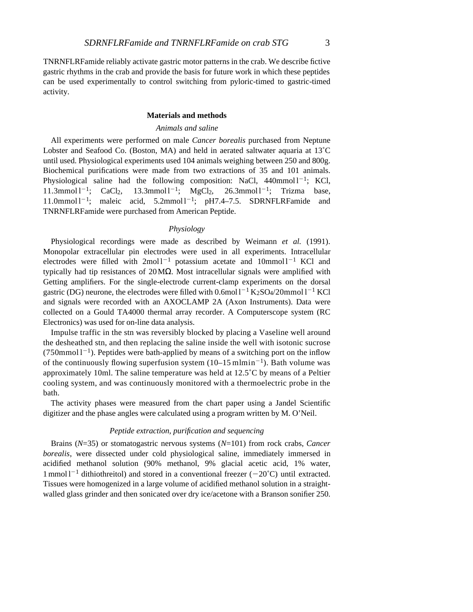TNRNFLRFamide reliably activate gastric motor patterns in the crab. We describe fictive gastric rhythms in the crab and provide the basis for future work in which these peptides can be used experimentally to control switching from pyloric-timed to gastric-timed activity.

### **Materials and methods**

### *Animals and saline*

All experiments were performed on male *Cancer borealis* purchased from Neptune Lobster and Seafood Co. (Boston, MA) and held in aerated saltwater aquaria at 13˚C until used. Physiological experiments used 104 animals weighing between 250 and 800g. Biochemical purifications were made from two extractions of 35 and 101 animals. Physiological saline had the following composition: NaCl,  $440$ mmol $1^{-1}$ ; KCl,  $11.3$ mmol  $1^{-1}$ ; CaCl<sub>2</sub>, 13.3mmol  $1^{-1}$ ; MgCl<sub>2</sub>, 26.3mmol  $1^{-1}$ ; Trizma base,  $11.0$ mmol  $1^{-1}$ ; maleic acid,  $5.2$ mmol  $1^{-1}$ ; pH7.4-7.5. SDRNFLRFamide and TNRNFLRFamide were purchased from American Peptide.

# *Physiology*

Physiological recordings were made as described by Weimann *et al.* (1991). Monopolar extracellular pin electrodes were used in all experiments. Intracellular electrodes were filled with  $2 \text{mol}^{-1}$  potassium acetate and  $10 \text{mmol}^{-1}$  KCl and typically had tip resistances of 20M . Most intracellular signals were amplified with Getting amplifiers. For the single-electrode current-clamp experiments on the dorsal gastric (DG) neurone, the electrodes were filled with  $0.6$ mol $1^{-1}$  K $2SO_4/20$ mmol $1^{-1}$  KCl and signals were recorded with an AXOCLAMP 2A (Axon Instruments). Data were collected on a Gould TA4000 thermal array recorder. A Computerscope system (RC Electronics) was used for on-line data analysis.

Impulse traffic in the stn was reversibly blocked by placing a Vaseline well around the desheathed stn, and then replacing the saline inside the well with isotonic sucrose  $(750$ mmol  $1^{-1}$ ). Peptides were bath-applied by means of a switching port on the inflow of the continuously flowing superfusion system  $(10-15 \text{ m/min}^{-1})$ . Bath volume was approximately 10ml. The saline temperature was held at 12.5˚C by means of a Peltier cooling system, and was continuously monitored with a thermoelectric probe in the bath.

The activity phases were measured from the chart paper using a Jandel Scientific digitizer and the phase angles were calculated using a program written by M. O'Neil.

### *Peptide extraction, purification and sequencing*

Brains (*N*=35) or stomatogastric nervous systems (*N*=101) from rock crabs, *Cancer borealis*, were dissected under cold physiological saline, immediately immersed in acidified methanol solution (90% methanol, 9% glacial acetic acid, 1% water, 1 mmol  $1^{-1}$  dithiothreitol) and stored in a conventional freezer (-20°C) until extracted. Tissues were homogenized in a large volume of acidified methanol solution in a straightwalled glass grinder and then sonicated over dry ice/acetone with a Branson sonifier 250.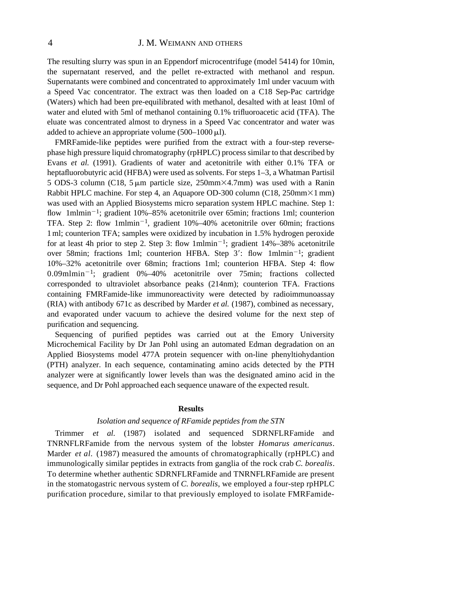The resulting slurry was spun in an Eppendorf microcentrifuge (model 5414) for 10min, the supernatant reserved, and the pellet re-extracted with methanol and respun. Supernatants were combined and concentrated to approximately 1ml under vacuum with a Speed Vac concentrator. The extract was then loaded on a C18 Sep-Pac cartridge (Waters) which had been pre-equilibrated with methanol, desalted with at least 10ml of water and eluted with 5ml of methanol containing 0.1% trifluoroacetic acid (TFA). The eluate was concentrated almost to dryness in a Speed Vac concentrator and water was added to achieve an appropriate volume  $(500-1000 \,\mu\text{L})$ .

FMRFamide-like peptides were purified from the extract with a four-step reversephase high pressure liquid chromatography (rpHPLC) process similar to that described by Evans *et al.* (1991). Gradients of water and acetonitrile with either 0.1% TFA or heptafluorobutyric acid (HFBA) were used as solvents. For steps 1–3, a Whatman Partisil 5 ODS-3 column (C18,  $5 \mu m$  particle size, 250mm $\times$ 4.7mm) was used with a Ranin Rabbit HPLC machine. For step 4, an Aquapore OD-300 column (C18,  $250 \text{mm} \times 1 \text{mm}$ ) was used with an Applied Biosystems micro separation system HPLC machine. Step 1: flow 1mlmin<sup>-1</sup>; gradient 10%–85% acetonitrile over 65min; fractions 1ml; counterion TFA. Step 2: flow  $1$ mlmin<sup>-1</sup>, gradient  $10\%$ -40% acetonitrile over 60min; fractions 1ml; counterion TFA; samples were oxidized by incubation in 1.5% hydrogen peroxide for at least 4h prior to step 2. Step 3: flow  $1$ mlmin<sup>-1</sup>; gradient  $14\% - 38\%$  acetonitrile over 58min; fractions 1ml; counterion HFBA. Step 3': flow 1mlmin<sup>-1</sup>; gradient 10%–32% acetonitrile over 68min; fractions 1ml; counterion HFBA. Step 4: flow 0.09mlmin<sup>-1</sup>; gradient 0%-40% acetonitrile over 75min; fractions collected corresponded to ultraviolet absorbance peaks (214nm); counterion TFA. Fractions containing FMRFamide-like immunoreactivity were detected by radioimmunoassay (RIA) with antibody 671c as described by Marder *et al.* (1987), combined as necessary, and evaporated under vacuum to achieve the desired volume for the next step of purification and sequencing.

Sequencing of purified peptides was carried out at the Emory University Microchemical Facility by Dr Jan Pohl using an automated Edman degradation on an Applied Biosystems model 477A protein sequencer with on-line phenyltiohydantion (PTH) analyzer. In each sequence, contaminating amino acids detected by the PTH analyzer were at significantly lower levels than was the designated amino acid in the sequence, and Dr Pohl approached each sequence unaware of the expected result.

### **Results**

### *Isolation and sequence of RFamide peptides from the STN*

Trimmer *et al.* (1987) isolated and sequenced SDRNFLRFamide and TNRNFLRFamide from the nervous system of the lobster *Homarus americanus*. Marder *et al.* (1987) measured the amounts of chromatographically (rpHPLC) and immunologically similar peptides in extracts from ganglia of the rock crab *C. borealis*. To determine whether authentic SDRNFLRFamide and TNRNFLRFamide are present in the stomatogastric nervous system of *C. borealis*, we employed a four-step rpHPLC purification procedure, similar to that previously employed to isolate FMRFamide-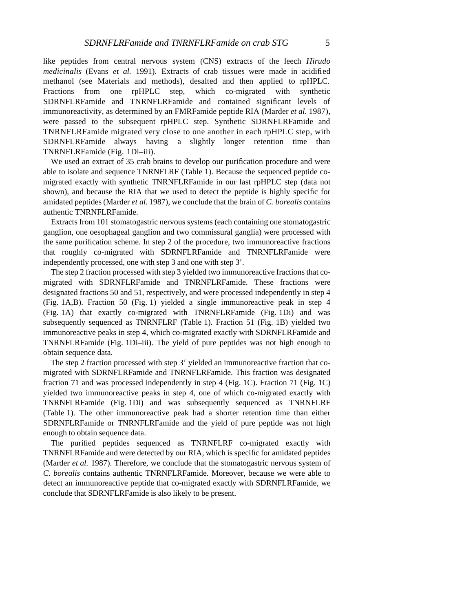like peptides from central nervous system (CNS) extracts of the leech *Hirudo medicinalis* (Evans *et al.* 1991). Extracts of crab tissues were made in acidified methanol (see Materials and methods), desalted and then applied to rpHPLC. Fractions from one rpHPLC step, which co-migrated with synthetic SDRNFLRFamide and TNRNFLRFamide and contained significant levels of immunoreactivity, as determined by an FMRFamide peptide RIA (Marder *et al.* 1987), were passed to the subsequent rpHPLC step. Synthetic SDRNFLRFamide and TNRNFLRFamide migrated very close to one another in each rpHPLC step, with SDRNFLRFamide always having a slightly longer retention time than TNRNFLRFamide (Fig. 1Di-iii).

We used an extract of 35 crab brains to develop our purification procedure and were able to isolate and sequence TNRNFLRF (Table 1). Because the sequenced peptide comigrated exactly with synthetic TNRNFLRFamide in our last rpHPLC step (data not shown), and because the RIA that we used to detect the peptide is highly specific for amidated peptides (Marder *et al.* 1987), we conclude that the brain of *C. borealis* contains authentic TNRNFLRFamide.

Extracts from 101 stomatogastric nervous systems (each containing one stomatogastric ganglion, one oesophageal ganglion and two commissural ganglia) were processed with the same purification scheme. In step 2 of the procedure, two immunoreactive fractions that roughly co-migrated with SDRNFLRFamide and TNRNFLRFamide were independently processed, one with step  $3$  and one with step  $3'$ .

The step 2 fraction processed with step 3 yielded two immunoreactive fractions that comigrated with SDRNFLRFamide and TNRNFLRFamide. These fractions were designated fractions 50 and 51, respectively, and were processed independently in step 4 (Fig. 1A,B). Fraction 50 (Fig. 1) yielded a single immunoreactive peak in step 4 (Fig. 1A) that exactly co-migrated with TNRNFLRFamide (Fig. 1Di) and was subsequently sequenced as TNRNFLRF (Table 1). Fraction 51 (Fig. 1B) yielded two immunoreactive peaks in step 4, which co-migrated exactly with SDRNFLRFamide and TNRNFLRFamide (Fig. 1Di–iii). The yield of pure peptides was not high enough to obtain sequence data.

The step 2 fraction processed with step  $3'$  yielded an immunoreactive fraction that comigrated with SDRNFLRFamide and TNRNFLRFamide. This fraction was designated fraction 71 and was processed independently in step 4 (Fig. 1C). Fraction 71 (Fig. 1C) yielded two immunoreactive peaks in step 4, one of which co-migrated exactly with TNRNFLRFamide (Fig. 1Di) and was subsequently sequenced as TNRNFLRF (Table 1). The other immunoreactive peak had a shorter retention time than either SDRNFLRFamide or TNRNFLRFamide and the yield of pure peptide was not high enough to obtain sequence data.

The purified peptides sequenced as TNRNFLRF co-migrated exactly with TNRNFLRFamide and were detected by our RIA, which is specific for amidated peptides (Marder *et al.* 1987). Therefore, we conclude that the stomatogastric nervous system of *C. borealis* contains authentic TNRNFLRFamide. Moreover, because we were able to detect an immunoreactive peptide that co-migrated exactly with SDRNFLRFamide, we conclude that SDRNFLRFamide is also likely to be present.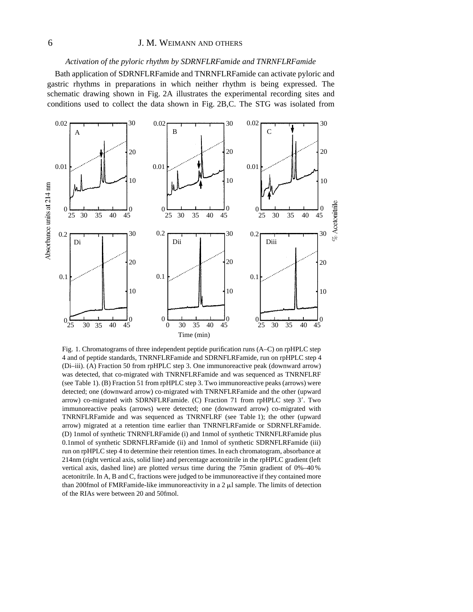### *Activation of the pyloric rhythm by SDRNFLRFamide and TNRNFLRFamide*

Bath application of SDRNFLRFamide and TNRNFLRFamide can activate pyloric and gastric rhythms in preparations in which neither rhythm is being expressed. The schematic drawing shown in Fig. 2A illustrates the experimental recording sites and conditions used to collect the data shown in Fig. 2B,C. The STG was isolated from



Fig. 1. Chromatograms of three independent peptide purification runs (A–C) on rpHPLC step 4 and of peptide standards, TNRNFLRFamide and SDRNFLRFamide, run on rpHPLC step 4 (Di–iii). (A) Fraction 50 from rpHPLC step 3. One immunoreactive peak (downward arrow) was detected, that co-migrated with TNRNFLRFamide and was sequenced as TNRNFLRF (see Table 1). (B) Fraction 51 from rpHPLC step 3. Two immunoreactive peaks (arrows) were detected; one (downward arrow) co-migrated with TNRNFLRFamide and the other (upward arrow) co-migrated with SDRNFLRFamide. (C) Fraction 71 from rpHPLC step  $3'$ . Two immunoreactive peaks (arrows) were detected; one (downward arrow) co-migrated with TNRNFLRFamide and was sequenced as TNRNFLRF (see Table 1); the other (upward arrow) migrated at a retention time earlier than TNRNFLRFamide or SDRNFLRFamide. (D) 1nmol of synthetic TNRNFLRFamide (i) and 1nmol of synthetic TNRNFLRFamide plus 0.1nmol of synthetic SDRNFLRFamide (ii) and 1nmol of synthetic SDRNFLRFamide (iii) run on rpHPLC step 4 to determine their retention times. In each chromatogram, absorbance at 214nm (right vertical axis, solid line) and percentage acetonitrile in the rpHPLC gradient (left vertical axis, dashed line) are plotted *versus* time during the 75min gradient of 0%–40% acetonitrile. In A, B and C, fractions were judged to be immunoreactive if they contained more than 200fmol of FMRFamide-like immunoreactivity in a  $2 \mu l$  sample. The limits of detection of the RIAs were between 20 and 50fmol.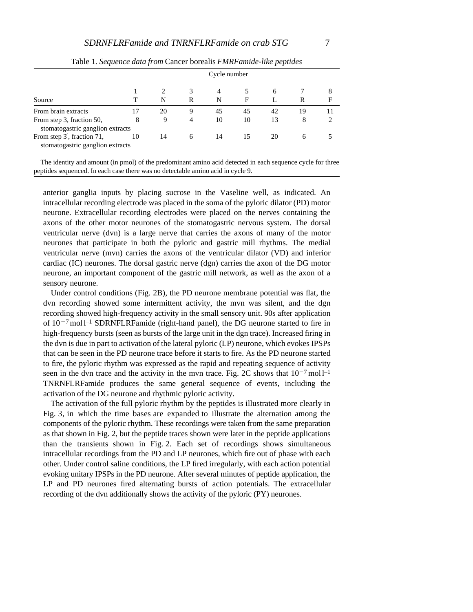|                                                               |    |    |                | Cycle number |    |    |    |        |  |  |
|---------------------------------------------------------------|----|----|----------------|--------------|----|----|----|--------|--|--|
| Source                                                        |    | N  | 3<br>R         | 4<br>N       | F  | 6  | R  | 8<br>F |  |  |
| From brain extracts                                           |    | 20 | 9              | 45           | 45 | 42 | 19 |        |  |  |
| From step 3, fraction 50,<br>stomatogastric ganglion extracts | 8  | 9  | $\overline{4}$ | 10           | 10 | 13 | 8  |        |  |  |
| From step 3, fraction 71,<br>stomatogastric ganglion extracts | 10 | 14 | 6              | 14           | 15 | 20 | 6  |        |  |  |

Table 1*. Sequence data from* Cancer borealis *FMRFamide-like peptides*

The identity and amount (in pmol) of the predominant amino acid detected in each sequence cycle for three peptides sequenced. In each case there was no detectable amino acid in cycle 9.

anterior ganglia inputs by placing sucrose in the Vaseline well, as indicated. An intracellular recording electrode was placed in the soma of the pyloric dilator (PD) motor neurone. Extracellular recording electrodes were placed on the nerves containing the axons of the other motor neurones of the stomatogastric nervous system. The dorsal ventricular nerve (dvn) is a large nerve that carries the axons of many of the motor neurones that participate in both the pyloric and gastric mill rhythms. The medial ventricular nerve (mvn) carries the axons of the ventricular dilator (VD) and inferior cardiac (IC) neurones. The dorsal gastric nerve (dgn) carries the axon of the DG motor neurone, an important component of the gastric mill network, as well as the axon of a sensory neurone.

Under control conditions (Fig. 2B), the PD neurone membrane potential was flat, the dvn recording showed some intermittent activity, the mvn was silent, and the dgn recording showed high-frequency activity in the small sensory unit. 90s after application of  $10^{-7}$  mol l<sup>-1</sup> SDRNFLRFamide (right-hand panel), the DG neurone started to fire in high-frequency bursts (seen as bursts of the large unit in the dgn trace). Increased firing in the dvn is due in part to activation of the lateral pyloric (LP) neurone, which evokes IPSPs that can be seen in the PD neurone trace before it starts to fire. As the PD neurone started to fire, the pyloric rhythm was expressed as the rapid and repeating sequence of activity seen in the dvn trace and the activity in the mvn trace. Fig. 2C shows that  $10^{-7}$  mol l<sup>-1</sup> TNRNFLRFamide produces the same general sequence of events, including the activation of the DG neurone and rhythmic pyloric activity.

The activation of the full pyloric rhythm by the peptides is illustrated more clearly in Fig. 3, in which the time bases are expanded to illustrate the alternation among the components of the pyloric rhythm. These recordings were taken from the same preparation as that shown in Fig. 2, but the peptide traces shown were later in the peptide applications than the transients shown in Fig. 2. Each set of recordings shows simultaneous intracellular recordings from the PD and LP neurones, which fire out of phase with each other. Under control saline conditions, the LP fired irregularly, with each action potential evoking unitary IPSPs in the PD neurone. After several minutes of peptide application, the LP and PD neurones fired alternating bursts of action potentials. The extracellular recording of the dvn additionally shows the activity of the pyloric (PY) neurones.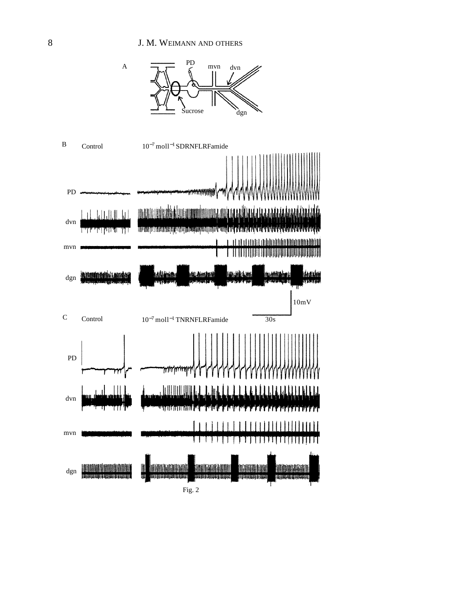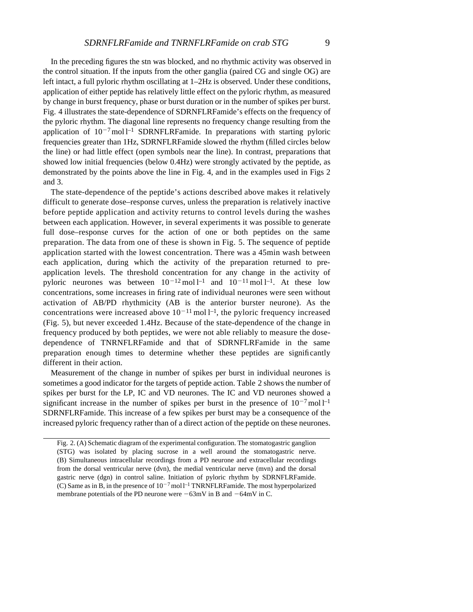In the preceding figures the stn was blocked, and no rhythmic activity was observed in the control situation. If the inputs from the other ganglia (paired CG and single OG) are left intact, a full pyloric rhythm oscillating at 1–2Hz is observed. Under these conditions, application of either peptide has relatively little effect on the pyloric rhythm, as measured by change in burst frequency, phase or burst duration or in the number of spikes per burst. Fig. 4 illustrates the state-dependence of SDRNFLRFamide's effects on the frequency of the pyloric rhythm. The diagonal line represents no frequency change resulting from the application of  $10^{-7}$  mol l<sup>-1</sup> SDRNFLRFamide. In preparations with starting pyloric frequencies greater than 1Hz, SDRNFLRFamide slowed the rhythm (filled circles below the line) or had little effect (open symbols near the line). In contrast, preparations that showed low initial frequencies (below 0.4Hz) were strongly activated by the peptide, as demonstrated by the points above the line in Fig. 4, and in the examples used in Figs 2 and 3.

The state-dependence of the peptide's actions described above makes it relatively difficult to generate dose–response curves, unless the preparation is relatively inactive before peptide application and activity returns to control levels during the washes between each application. However, in several experiments it was possible to generate full dose–response curves for the action of one or both peptides on the same preparation. The data from one of these is shown in Fig. 5. The sequence of peptide application started with the lowest concentration. There was a 45min wash between each application, during which the activity of the preparation returned to preapplication levels. The threshold concentration for any change in the activity of pyloric neurones was between  $10^{-12}$  mol l<sup>-1</sup> and  $10^{-11}$  mol l<sup>-1</sup>. At these low concentrations, some increases in firing rate of individual neurones were seen without activation of AB/PD rhythmicity (AB is the anterior burster neurone). As the concentrations were increased above  $10^{-11}$  mol  $l^{-1}$ , the pyloric frequency increased (Fig. 5), but never exceeded 1.4Hz. Because of the state-dependence of the change in frequency produced by both peptides, we were not able reliably to measure the dosedependence of TNRNFLRFamide and that of SDRNFLRFamide in the same preparation enough times to determine whether these peptides are significantly different in their action.

Measurement of the change in number of spikes per burst in individual neurones is sometimes a good indicator for the targets of peptide action. Table 2 shows the number of spikes per burst for the LP, IC and VD neurones. The IC and VD neurones showed a significant increase in the number of spikes per burst in the presence of  $10^{-7}$  mol l<sup>-1</sup> SDRNFLRFamide. This increase of a few spikes per burst may be a consequence of the increased pyloric frequency rather than of a direct action of the peptide on these neurones.

Fig. 2. (A) Schematic diagram of the experimental configuration. The stomatogastric ganglion (STG) was isolated by placing sucrose in a well around the stomatogastric nerve. (B) Simultaneous intracellular recordings from a PD neurone and extracellular recordings from the dorsal ventricular nerve (dvn), the medial ventricular nerve (mvn) and the dorsal gastric nerve (dgn) in control saline. Initiation of pyloric rhythm by SDRNFLRFamide. (C) Same as in B, in the presence of  $10^{-7}$  moll<sup>-1</sup> TNRNFLRFamide. The most hyperpolarized membrane potentials of the PD neurone were  $-63$ mV in B and  $-64$ mV in C.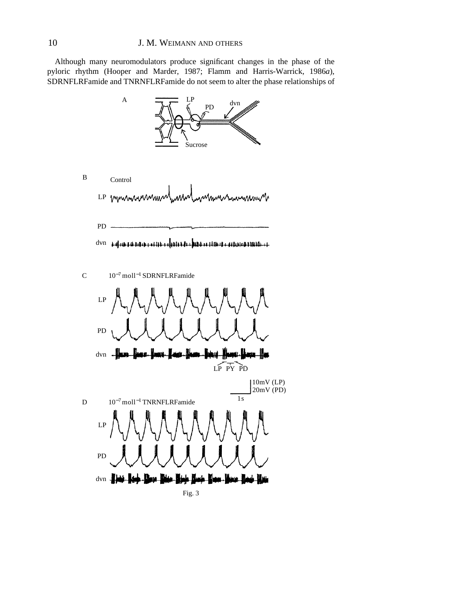Although many neuromodulators produce significant changes in the phase of the pyloric rhythm (Hooper and Marder, 1987; Flamm and Harris-Warrick, 1986*a*), SDRNFLRFamide and TNRNFLRFamide do not seem to alter the phase relationships of

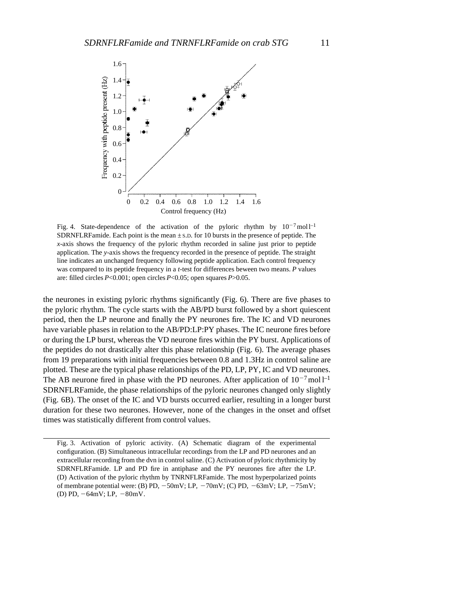

Fig. 4. State-dependence of the activation of the pyloric rhythm by  $10^{-7}$  moll<sup>-1</sup> SDRNFLRFamide. Each point is the mean  $\pm$  s.D. for 10 bursts in the presence of peptide. The *x*-axis shows the frequency of the pyloric rhythm recorded in saline just prior to peptide application. The *y*-axis shows the frequency recorded in the presence of peptide. The straight line indicates an unchanged frequency following peptide application. Each control frequency was compared to its peptide frequency in a *t*-test for differences beween two means. *P* values are: filled circles *P*<0.001; open circles *P*<0.05; open squares *P*>0.05.

the neurones in existing pyloric rhythms significantly (Fig. 6). There are five phases to the pyloric rhythm. The cycle starts with the AB/PD burst followed by a short quiescent period, then the LP neurone and finally the PY neurones fire. The IC and VD neurones have variable phases in relation to the AB/PD:LP:PY phases. The IC neurone fires before or during the LP burst, whereas the VD neurone fires within the PY burst. Applications of the peptides do not drastically alter this phase relationship (Fig. 6). The average phases from 19 preparations with initial frequencies between 0.8 and 1.3Hz in control saline are plotted. These are the typical phase relationships of the PD, LP, PY, IC and VD neurones. The AB neurone fired in phase with the PD neurones. After application of  $10^{-7}$  mol l<sup>-1</sup> SDRNFLRFamide, the phase relationships of the pyloric neurones changed only slightly (Fig. 6B). The onset of the IC and VD bursts occurred earlier, resulting in a longer burst duration for these two neurones. However, none of the changes in the onset and offset times was statistically different from control values.

Fig. 3. Activation of pyloric activity. (A) Schematic diagram of the experimental configuration. (B) Simultaneous intracellular recordings from the LP and PD neurones and an extracellular recording from the dvn in control saline. (C) Activation of pyloric rhythmicity by SDRNFLRFamide. LP and PD fire in antiphase and the PY neurones fire after the LP. (D) Activation of the pyloric rhythm by TNRNFLRFamide. The most hyperpolarized points of membrane potential were: (B) PD,  $-50mV$ ; LP,  $-70mV$ ; (C) PD,  $-63mV$ ; LP,  $-75mV$ ; (D) PD,  $-64mV$ ; LP,  $-80mV$ .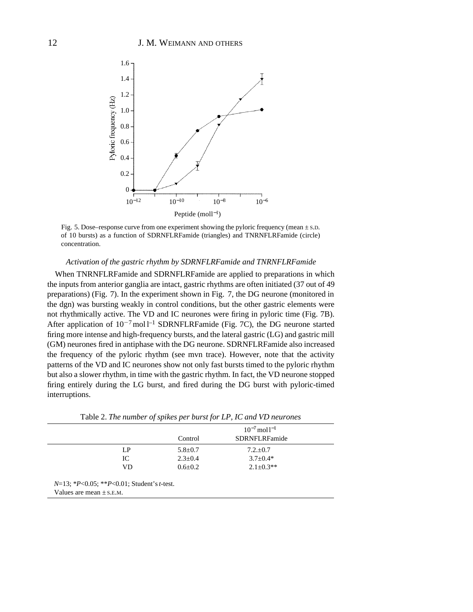

Fig. 5. Dose–response curve from one experiment showing the pyloric frequency (mean ± S.D. of 10 bursts) as a function of SDRNFLRFamide (triangles) and TNRNFLRFamide (circle) concentration.

### *Activation of the gastric rhythm by SDRNFLRFamide and TNRNFLRFamide*

When TNRNFLRFamide and SDRNFLRFamide are applied to preparations in which the inputs from anterior ganglia are intact, gastric rhythms are often initiated (37 out of 49 preparations) (Fig. 7). In the experiment shown in Fig. 7, the DG neurone (monitored in the dgn) was bursting weakly in control conditions, but the other gastric elements were not rhythmically active. The VD and IC neurones were firing in pyloric time (Fig. 7B). After application of  $10^{-7}$ mol l<sup>-1</sup> SDRNFLRFamide (Fig. 7C), the DG neurone started firing more intense and high-frequency bursts, and the lateral gastric (LG) and gastric mill (GM) neurones fired in antiphase with the DG neurone. SDRNFLRFamide also increased the frequency of the pyloric rhythm (see mvn trace). However, note that the activity patterns of the VD and IC neurones show not only fast bursts timed to the pyloric rhythm but also a slower rhythm, in time with the gastric rhythm. In fact, the VD neurone stopped firing entirely during the LG burst, and fired during the DG burst with pyloric-timed interruptions.

|                                               |               | $10^{-7}$ mol $1^{-1}$ |  |
|-----------------------------------------------|---------------|------------------------|--|
|                                               | Control       | <b>SDRNFLRFamide</b>   |  |
| LP                                            | $5.8 \pm 0.7$ | $7.2 \pm 0.7$          |  |
| IC                                            | $2.3 \pm 0.4$ | $3.7 \pm 0.4*$         |  |
| VD                                            | $0.6 \pm 0.2$ | $2.1 + 0.3**$          |  |
| $N=13$ ; *P<0.05; **P<0.01; Student's t-test. |               |                        |  |
| Values are mean $\pm$ s.E.M.                  |               |                        |  |

Table 2. *The number of spikes per burst for LP, IC and VD neurones*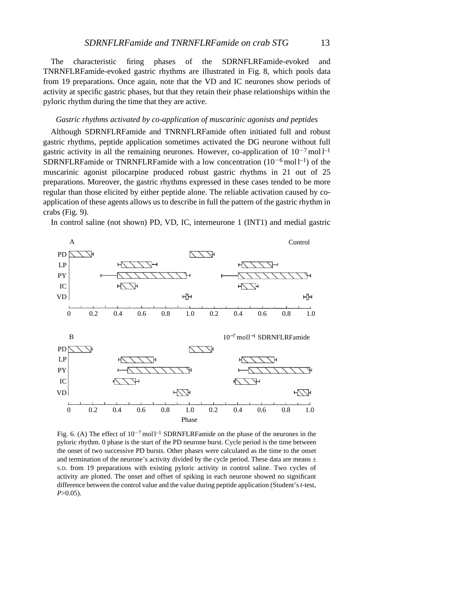The characteristic firing phases of the SDRNFLRFamide-evoked and TNRNFLRFamide-evoked gastric rhythms are illustrated in Fig. 8, which pools data from 19 preparations. Once again, note that the VD and IC neurones show periods of activity at specific gastric phases, but that they retain their phase relationships within the pyloric rhythm during the time that they are active.

# *Gastric rhythms activated by co-application of muscarinic agonists and peptides*

Although SDRNFLRFamide and TNRNFLRFamide often initiated full and robust gastric rhythms, peptide application sometimes activated the DG neurone without full gastric activity in all the remaining neurones. However, co-application of  $10^{-7}$  mol l<sup>-1</sup> SDRNFLRFamide or TNRNFLRFamide with a low concentration  $(10^{-6} \text{mol}^{-1})$  of the muscarinic agonist pilocarpine produced robust gastric rhythms in 21 out of 25 preparations. Moreover, the gastric rhythms expressed in these cases tended to be more regular than those elicited by either peptide alone. The reliable activation caused by coapplication of these agents allows us to describe in full the pattern of the gastric rhythm in crabs (Fig. 9).

In control saline (not shown) PD, VD, IC, interneurone 1 (INT1) and medial gastric



Fig. 6. (A) The effect of  $10^{-7}$  moll<sup>-1</sup> SDRNFLRFamide on the phase of the neurones in the pyloric rhythm. 0 phase is the start of the PD neurone burst. Cycle period is the time between the onset of two successive PD bursts. Other phases were calculated as the time to the onset and termination of the neurone's activity divided by the cycle period. These data are means  $\pm$ S.D. from 19 preparations with existing pyloric activity in control saline. Two cycles of activity are plotted. The onset and offset of spiking in each neurone showed no significant difference between the control value and the value during peptide application (Student's *t*-test, *P*>0.05).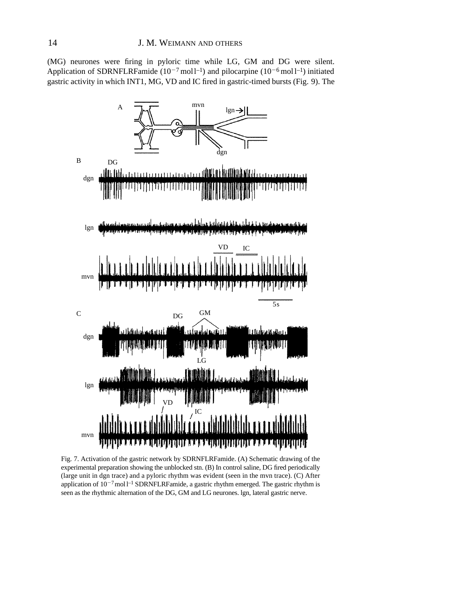(MG) neurones were firing in pyloric time while LG, GM and DG were silent. Application of SDRNFLRFamide  $(10^{-7} \text{mol}^{-1})$  and pilocarpine  $(10^{-6} \text{mol}^{-1})$  initiated gastric activity in which INT1, MG, VD and IC fired in gastric-timed bursts (Fig. 9). The



Fig. 7. Activation of the gastric network by SDRNFLRFamide. (A) Schematic drawing of the experimental preparation showing the unblocked stn. (B) In control saline, DG fired periodically (large unit in dgn trace) and a pyloric rhythm was evident (seen in the mvn trace). (C) After application of  $10^{-7}$  moll<sup>-1</sup> SDRNFLRFamide, a gastric rhythm emerged. The gastric rhythm is seen as the rhythmic alternation of the DG, GM and LG neurones. lgn, lateral gastric nerve.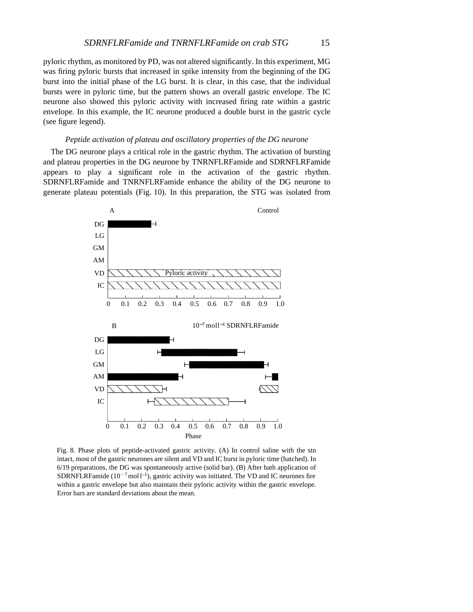pyloric rhythm, as monitored by PD, was not altered significantly. In this experiment, MG was firing pyloric bursts that increased in spike intensity from the beginning of the DG burst into the initial phase of the LG burst. It is clear, in this case, that the individual bursts were in pyloric time, but the pattern shows an overall gastric envelope. The IC neurone also showed this pyloric activity with increased firing rate within a gastric envelope. In this example, the IC neurone produced a double burst in the gastric cycle (see figure legend).

### *Peptide activation of plateau and oscillatory properties of the DG neurone*

The DG neurone plays a critical role in the gastric rhythm. The activation of bursting and plateau properties in the DG neurone by TNRNFLRFamide and SDRNFLRFamide appears to play a significant role in the activation of the gastric rhythm. SDRNFLRFamide and TNRNFLRFamide enhance the ability of the DG neurone to generate plateau potentials (Fig. 10). In this preparation, the STG was isolated from



Fig. 8. Phase plots of peptide-activated gastric activity. (A) In control saline with the stn intact, most of the gastric neurones are silent and VD and IC burst in pyloric time (hatched). In 6/19 preparations, the DG was spontaneously active (solid bar). (B) After bath application of SDRNFLRFamide  $(10^{-7} \text{mol}^{-1})$ , gastric activity was initiated. The VD and IC neurones fire within a gastric envelope but also maintain their pyloric activity within the gastric envelope. Error bars are standard deviations about the mean.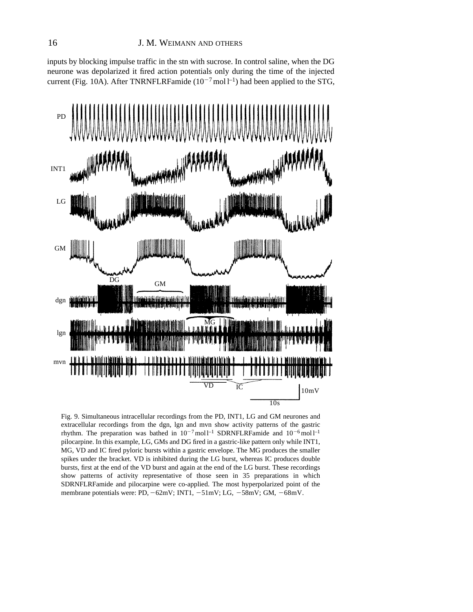inputs by blocking impulse traffic in the stn with sucrose. In control saline, when the DG neurone was depolarized it fired action potentials only during the time of the injected current (Fig. 10A). After TNRNFLRFamide  $(10^{-7} \text{mol l}^{-1})$  had been applied to the STG,



Fig. 9. Simultaneous intracellular recordings from the PD, INT1, LG and GM neurones and extracellular recordings from the dgn, lgn and mvn show activity patterns of the gastric rhythm. The preparation was bathed in  $10^{-7}$  moll<sup>-1</sup> SDRNFLRFamide and  $10^{-6}$  moll<sup>-1</sup> pilocarpine. In this example, LG, GMs and DG fired in a gastric-like pattern only while INT1, MG, VD and IC fired pyloric bursts within a gastric envelope. The MG produces the smaller spikes under the bracket. VD is inhibited during the LG burst, whereas IC produces double bursts, first at the end of the VD burst and again at the end of the LG burst. These recordings show patterns of activity representative of those seen in 35 preparations in which SDRNFLRFamide and pilocarpine were co-applied. The most hyperpolarized point of the membrane potentials were: PD, -62mV; INT1, -51mV; LG, -58mV; GM, -68mV.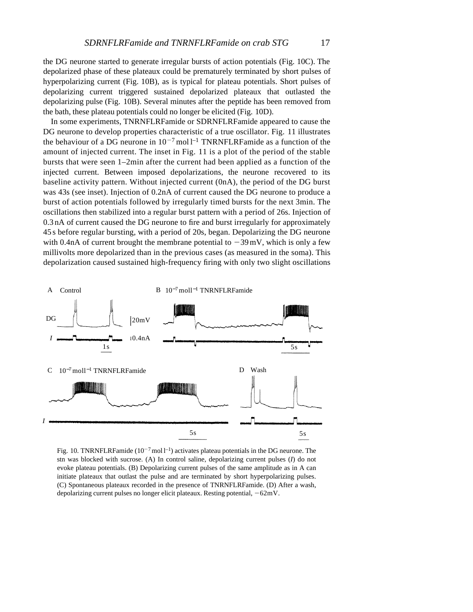the DG neurone started to generate irregular bursts of action potentials (Fig. 10C). The depolarized phase of these plateaux could be prematurely terminated by short pulses of hyperpolarizing current (Fig. 10B), as is typical for plateau potentials. Short pulses of depolarizing current triggered sustained depolarized plateaux that outlasted the depolarizing pulse (Fig. 10B). Several minutes after the peptide has been removed from the bath, these plateau potentials could no longer be elicited (Fig. 10D).

In some experiments, TNRNFLRFamide or SDRNFLRFamide appeared to cause the DG neurone to develop properties characteristic of a true oscillator. Fig. 11 illustrates the behaviour of a DG neurone in  $10^{-7}$  mol l<sup>-1</sup> TNRNFLRFamide as a function of the amount of injected current. The inset in Fig. 11 is a plot of the period of the stable bursts that were seen 1–2min after the current had been applied as a function of the injected current. Between imposed depolarizations, the neurone recovered to its baseline activity pattern. Without injected current (0nA), the period of the DG burst was 43s (see inset). Injection of 0.2nA of current caused the DG neurone to produce a burst of action potentials followed by irregularly timed bursts for the next 3min. The oscillations then stabilized into a regular burst pattern with a period of 26s. Injection of 0.3 nA of current caused the DG neurone to fire and burst irregularly for approximately 4 5 s before regular bursting, with a period of 20s, began. Depolarizing the DG neurone with 0.4nA of current brought the membrane potential to  $-39 \text{ mV}$ , which is only a few millivolts more depolarized than in the previous cases (as measured in the soma). This depolarization caused sustained high-frequency firing with only two slight oscillations



Fig. 10. TNRNFLRFamide  $(10^{-7} \text{mol l}^{-1})$  activates plateau potentials in the DG neurone. The stn was blocked with sucrose. (A) In control saline, depolarizing current pulses (*I*) do not evoke plateau potentials. (B) Depolarizing current pulses of the same amplitude as in A can initiate plateaux that outlast the pulse and are terminated by short hyperpolarizing pulses. (C) Spontaneous plateaux recorded in the presence of TNRNFLRFamide. (D) After a wash, depolarizing current pulses no longer elicit plateaux. Resting potential,  $-62mV$ .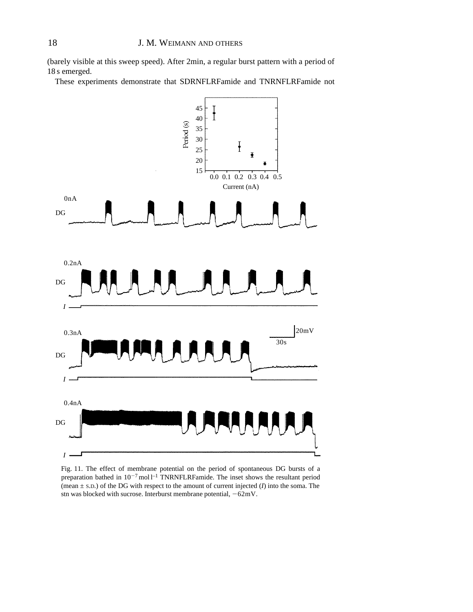(barely visible at this sweep speed). After 2min, a regular burst pattern with a period of 18 s emerged.

These experiments demonstrate that SDRNFLRFamide and TNRNFLRFamide not



Fig. 11. The effect of membrane potential on the period of spontaneous DG bursts of a preparation bathed in  $10^{-7}$  mol  $1^{-1}$  TNRNFLRFamide. The inset shows the resultant period (mean ± S.D.) of the DG with respect to the amount of current injected (*I*) into the soma. The stn was blocked with sucrose. Interburst membrane potential,  $-62mV$ .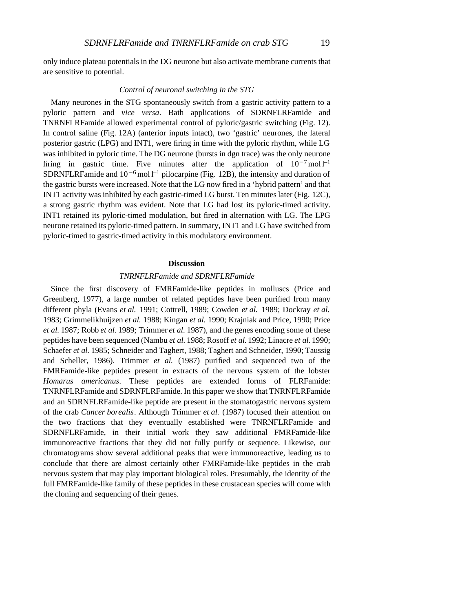only induce plateau potentials in the DG neurone but also activate membrane currents that are sensitive to potential.

## *Control of neuronal switching in the STG*

Many neurones in the STG spontaneously switch from a gastric activity pattern to a pyloric pattern and *vice versa*. Bath applications of SDRNFLRFamide and TNRNFLRFamide allowed experimental control of pyloric/gastric switching (Fig. 12). In control saline (Fig. 12A) (anterior inputs intact), two 'gastric' neurones, the lateral posterior gastric (LPG) and INT1, were firing in time with the pyloric rhythm, while LG was inhibited in pyloric time. The DG neurone (bursts in dgn trace) was the only neurone firing in gastric time. Five minutes after the application of  $10^{-7}$  mol l<sup>-1</sup> SDRNFLRFamide and  $10^{-6}$  mol  $l^{-1}$  pilocarpine (Fig. 12B), the intensity and duration of the gastric bursts were increased. Note that the LG now fired in a 'hybrid pattern' and that INT1 activity was inhibited by each gastric-timed LG burst. Ten minutes later (Fig. 12C), a strong gastric rhythm was evident. Note that LG had lost its pyloric-timed activity. INT1 retained its pyloric-timed modulation, but fired in alternation with LG. The LPG neurone retained its pyloric-timed pattern. In summary, INT1 and LG have switched from pyloric-timed to gastric-timed activity in this modulatory environment.

### **Discussion**

### *TNRNFLRFamide and SDRNFLRFamide*

Since the first discovery of FMRFamide-like peptides in molluscs (Price and Greenberg, 1977), a large number of related peptides have been purified from many different phyla (Evans *et al.* 1991; Cottrell, 1989; Cowden *et al.* 1989; Dockray *et al.* 1983; Grimmelikhuijzen *et al.* 1988; Kingan *et al.* 1990; Krajniak and Price, 1990; Price *et al.* 1987; Robb *et al.* 1989; Trimmer *et al.* 1987), and the genes encoding some of these peptides have been sequenced (Nambu *et al.* 1988; Rosoff *et al.* 1992; Linacre *et al.* 1990; Schaefer *et al.* 1985; Schneider and Taghert, 1988; Taghert and Schneider, 1990; Taussig and Scheller, 1986). Trimmer *et al.* (1987) purified and sequenced two of the FMRFamide-like peptides present in extracts of the nervous system of the lobster *Homarus americanus*. These peptides are extended forms of FLRFamide: TNRNFLRFamide and SDRNFLRFamide. In this paper we show that TNRNFLRFamide and an SDRNFLRFamide-like peptide are present in the stomatogastric nervous system of the crab *Cancer borealis*. Although Trimmer *et al.* (1987) focused their attention on the two fractions that they eventually established were TNRNFLRFamide and SDRNFLRFamide, in their initial work they saw additional FMRFamide-like immunoreactive fractions that they did not fully purify or sequence. Likewise, our chromatograms show several additional peaks that were immunoreactive, leading us to conclude that there are almost certainly other FMRFamide-like peptides in the crab nervous system that may play important biological roles. Presumably, the identity of the full FMRFamide-like family of these peptides in these crustacean species will come with the cloning and sequencing of their genes.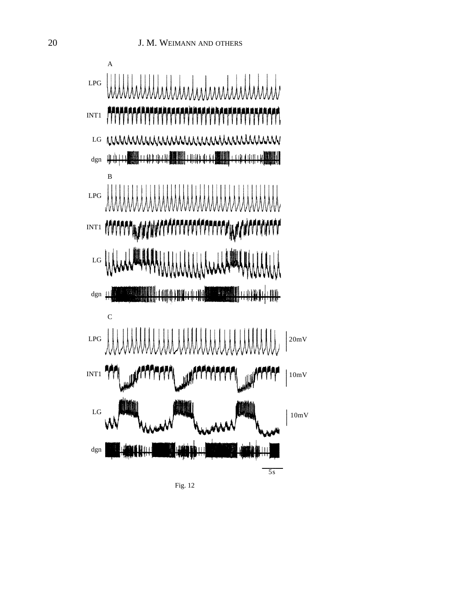

Fig. 12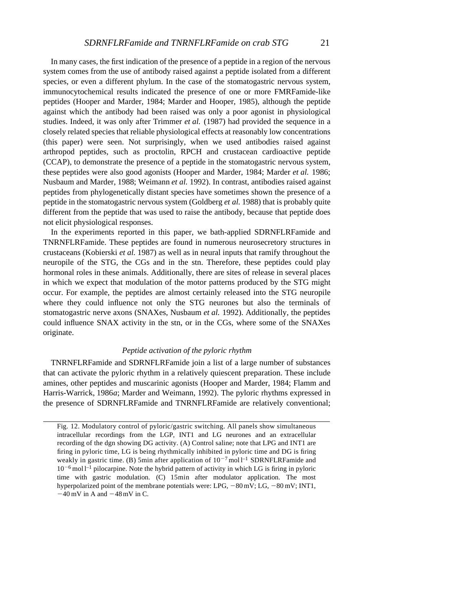In many cases, the first indication of the presence of a peptide in a region of the nervous system comes from the use of antibody raised against a peptide isolated from a different species, or even a different phylum. In the case of the stomatogastric nervous system, immunocytochemical results indicated the presence of one or more FMRFamide-like peptides (Hooper and Marder, 1984; Marder and Hooper, 1985), although the peptide against which the antibody had been raised was only a poor agonist in physiological studies. Indeed, it was only after Trimmer *et al.* (1987) had provided the sequence in a closely related species that reliable physiological effects at reasonably low concentrations (this paper) were seen. Not surprisingly, when we used antibodies raised against arthropod peptides, such as proctolin, RPCH and crustacean cardioactive peptide (CCAP), to demonstrate the presence of a peptide in the stomatogastric nervous system, these peptides were also good agonists (Hooper and Marder, 1984; Marder *et al.* 1986; Nusbaum and Marder, 1988; Weimann *et al.* 1992). In contrast, antibodies raised against peptides from phylogenetically distant species have sometimes shown the presence of a peptide in the stomatogastric nervous system (Goldberg *et al.* 1988) that is probably quite different from the peptide that was used to raise the antibody, because that peptide does not elicit physiological responses.

In the experiments reported in this paper, we bath-applied SDRNFLRFamide and TNRNFLRFamide. These peptides are found in numerous neurosecretory structures in crustaceans (Kobierski *et al.* 1987) as well as in neural inputs that ramify throughout the neuropile of the STG, the CGs and in the stn. Therefore, these peptides could play hormonal roles in these animals. Additionally, there are sites of release in several places in which we expect that modulation of the motor patterns produced by the STG might occur. For example, the peptides are almost certainly released into the STG neuropile where they could influence not only the STG neurones but also the terminals of stomatogastric nerve axons (SNAXes, Nusbaum *et al.* 1992). Additionally, the peptides could influence SNAX activity in the stn, or in the CGs, where some of the SNAXes originate.

### *Peptide activation of the pyloric rhythm*

TNRNFLRFamide and SDRNFLRFamide join a list of a large number of substances that can activate the pyloric rhythm in a relatively quiescent preparation. These include amines, other peptides and muscarinic agonists (Hooper and Marder, 1984; Flamm and Harris-Warrick, 1986*a*; Marder and Weimann, 1992). The pyloric rhythms expressed in the presence of SDRNFLRFamide and TNRNFLRFamide are relatively conventional;

Fig. 12. Modulatory control of pyloric/gastric switching. All panels show simultaneous intracellular recordings from the LGP, INT1 and LG neurones and an extracellular recording of the dgn showing DG activity. (A) Control saline; note that LPG and INT1 are firing in pyloric time, LG is being rhythmically inhibited in pyloric time and DG is firing weakly in gastric time. (B) 5min after application of  $10^{-7}$  mol l<sup>-1</sup> SDRNFLRFamide and  $10^{-6}$  mol l<sup>-1</sup> pilocarpine. Note the hybrid pattern of activity in which LG is firing in pyloric time with gastric modulation. (C) 15min after modulator application. The most hyperpolarized point of the membrane potentials were: LPG,  $-80$  mV; LG,  $-80$  mV; INT1,  $-40$  mV in A and  $-48$  mV in C.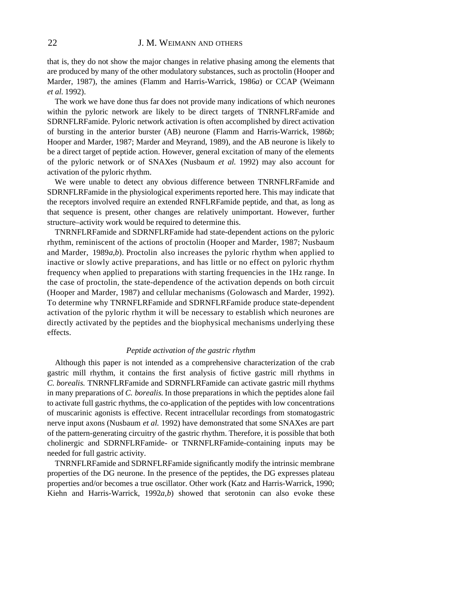# 22 J. M. WEIMANN AND OTHERS

that is, they do not show the major changes in relative phasing among the elements that are produced by many of the other modulatory substances, such as proctolin (Hooper and Marder, 1987), the amines (Flamm and Harris-Warrick, 1986*a*) or CCAP (Weimann *et al.* 1992).

The work we have done thus far does not provide many indications of which neurones within the pyloric network are likely to be direct targets of TNRNFLRFamide and SDRNFLRFamide. Pyloric network activation is often accomplished by direct activation of bursting in the anterior burster (AB) neurone (Flamm and Harris-Warrick, 1986*b*; Hooper and Marder, 1987; Marder and Meyrand, 1989), and the AB neurone is likely to be a direct target of peptide action. However, general excitation of many of the elements of the pyloric network or of SNAXes (Nusbaum *et al.* 1992) may also account for activation of the pyloric rhythm.

We were unable to detect any obvious difference between TNRNFLRFamide and SDRNFLRFamide in the physiological experiments reported here. This may indicate that the receptors involved require an extended RNFLRFamide peptide, and that, as long as that sequence is present, other changes are relatively unimportant. However, further structure–activity work would be required to determine this.

TNRNFLRFamide and SDRNFLRFamide had state-dependent actions on the pyloric rhythm, reminiscent of the actions of proctolin (Hooper and Marder, 1987; Nusbaum and Marder, 1989*a*,*b*). Proctolin also increases the pyloric rhythm when applied to inactive or slowly active preparations, and has little or no effect on pyloric rhythm frequency when applied to preparations with starting frequencies in the 1Hz range. In the case of proctolin, the state-dependence of the activation depends on both circuit (Hooper and Marder, 1987) and cellular mechanisms (Golowasch and Marder, 1992). To determine why TNRNFLRFamide and SDRNFLRFamide produce state-dependent activation of the pyloric rhythm it will be necessary to establish which neurones are directly activated by the peptides and the biophysical mechanisms underlying these effects.

### *Peptide activation of the gastric rhythm*

Although this paper is not intended as a comprehensive characterization of the crab gastric mill rhythm, it contains the first analysis of fictive gastric mill rhythms in *C. borealis.* TNRNFLRFamide and SDRNFLRFamide can activate gastric mill rhythms in many preparations of *C. borealis*. In those preparations in which the peptides alone fail to activate full gastric rhythms, the co-application of the peptides with low concentrations of muscarinic agonists is effective. Recent intracellular recordings from stomatogastric nerve input axons (Nusbaum *et al.* 1992) have demonstrated that some SNAXes are part of the pattern-generating circuitry of the gastric rhythm. Therefore, it is possible that both cholinergic and SDRNFLRFamide- or TNRNFLRFamide-containing inputs may be needed for full gastric activity.

TNRNFLRFamide and SDRNFLRFamide significantly modify the intrinsic membrane properties of the DG neurone. In the presence of the peptides, the DG expresses plateau properties and/or becomes a true oscillator. Other work (Katz and Harris-Warrick, 1990; Kiehn and Harris-Warrick, 1992*a*,*b*) showed that serotonin can also evoke these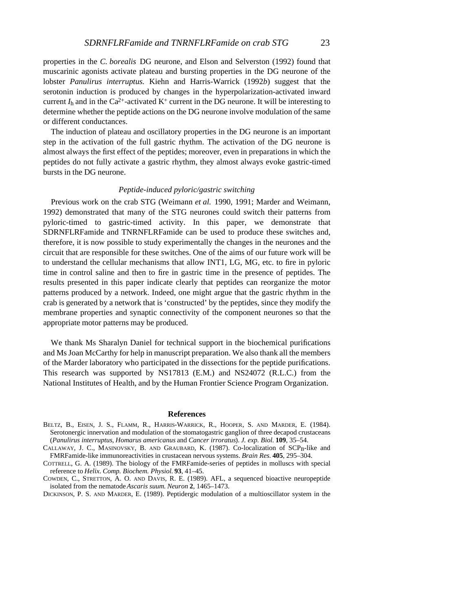properties in the *C. borealis* DG neurone, and Elson and Selverston (1992) found that muscarinic agonists activate plateau and bursting properties in the DG neurone of the lobster *Panulirus interruptus.* Kiehn and Harris-Warrick (1992*b*) suggest that the serotonin induction is produced by changes in the hyperpolarization-activated inward current  $I_h$  and in the Ca<sup>2+</sup>-activated K<sup>+</sup> current in the DG neurone. It will be interesting to determine whether the peptide actions on the DG neurone involve modulation of the same or different conductances.

The induction of plateau and oscillatory properties in the DG neurone is an important step in the activation of the full gastric rhythm. The activation of the DG neurone is almost always the first effect of the peptides; moreover, even in preparations in which the peptides do not fully activate a gastric rhythm, they almost always evoke gastric-timed bursts in the DG neurone.

### *Peptide-induced pyloric/gastric switching*

Previous work on the crab STG (Weimann *et al.* 1990, 1991; Marder and Weimann, 1992) demonstrated that many of the STG neurones could switch their patterns from pyloric-timed to gastric-timed activity. In this paper, we demonstrate that SDRNFLRFamide and TNRNFLRFamide can be used to produce these switches and, therefore, it is now possible to study experimentally the changes in the neurones and the circuit that are responsible for these switches. One of the aims of our future work will be to understand the cellular mechanisms that allow INT1, LG, MG, etc. to fire in pyloric time in control saline and then to fire in gastric time in the presence of peptides. The results presented in this paper indicate clearly that peptides can reorganize the motor patterns produced by a network. Indeed, one might argue that the gastric rhythm in the crab is generated by a network that is 'constructed' by the peptides, since they modify the membrane properties and synaptic connectivity of the component neurones so that the appropriate motor patterns may be produced.

We thank Ms Sharalyn Daniel for technical support in the biochemical purifications and Ms Joan McCarthy for help in manuscript preparation. We also thank all the members of the Marder laboratory who participated in the dissections for the peptide purifications. This research was supported by NS17813 (E.M.) and NS24072 (R.L.C.) from the National Institutes of Health, and by the Human Frontier Science Program Organization.

#### **References**

- BELTZ, B., EISEN, J. S., FLAMM, R., HARRIS-WARRICK, R., HOOPER, S. AND MARDER, E. (1984). Serotonergic innervation and modulation of the stomatogastric ganglion of three decapod crustaceans (*Panulirus interruptus*, *Homarus americanus* and *Cancer irroratus*). *J. exp. Biol.* **109**, 35–54.
- CALLAWAY, J. C., MASINOVSKY, B. AND GRAUBARD, K. (1987). Co-localization of SCP<sub>B</sub>-like and FMRFamide-like immunoreactivities in crustacean nervous systems. *Brain Res.* **405**, 295–304.
- COTTRELL, G. A. (1989). The biology of the FMRFamide-series of peptides in molluscs with special reference to *Helix*. *Comp. Biochem. Physiol.* **93**, 41–45.
- COWDEN, C., STRETTON, A. O. AND DAVIS, R. E. (1989). AFL, a sequenced bioactive neuropeptide isolated from the nematode *Ascaris suum*. *Neuron* **2**, 1465–1473.

DICKINSON, P. S. AND MARDER, E. (1989). Peptidergic modulation of a multioscillator system in the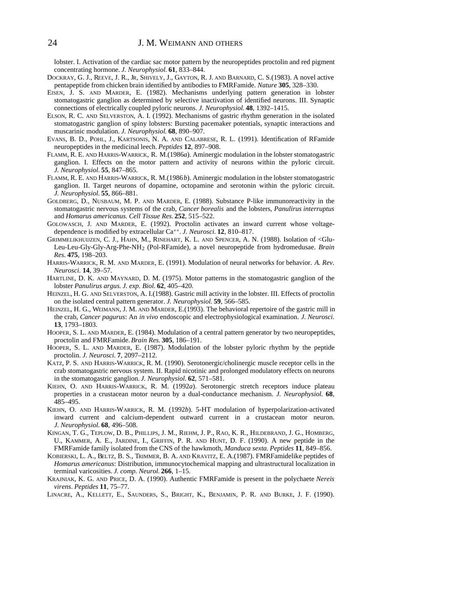lobster. I. Activation of the cardiac sac motor pattern by the neuropeptides proctolin and red pigment concentrating hormone. *J. Neurophysiol.* **61**, 833–844.

- DOCKRAY, G. J., REEVE, J. R., JR, SHIVELY, J., GAYTON, R. J. AND BARNARD, C. S.(1983). A novel active pentapeptide from chicken brain identified by antibodies to FMRFamide. *Nature* **305**, 328–330.
- EISEN, J. S. AND MARDER, E. (1982). Mechanisms underlying pattern generation in lobster stomatogastric ganglion as determined by selective inactivation of identified neurons. III. Synaptic connections of electrically coupled pyloric neurons. *J. Neurophysiol.* **48**, 1392–1415.
- ELSON, R. C. AND SELVERSTON, A. I. (1992). Mechanisms of gastric rhythm generation in the isolated stomatogastric ganglion of spiny lobsters: Bursting pacemaker potentials, synaptic interactions and muscarinic modulation. *J. Neurophysiol.* **68**, 890–907.
- EVANS, B. D., POHL, J., KARTSONIS, N. A. AND CALABRESE, R. L. (1991). Identification of RFamide neuropeptides in the medicinal leech. *Peptides* **12**, 897–908.
- FLAMM, R. E. AND HARRIS-WARRICK, R. M.(1986*a*). Aminergic modulation in the lobster stomatogastric ganglion. I. Effects on the motor pattern and activity of neurons within the pyloric circuit. *J. Neurophysiol.* **55**, 847–865.
- FLAMM, R. E. AND HARRIS-WARRICK, R. M.(1986*b*). Aminergic modulation in the lobster stomatogastric ganglion. II. Target neurons of dopamine, octopamine and serotonin within the pyloric circuit. *J. Neurophysiol.* **55**, 866–881.
- GOLDBERG, D., NUSBAUM, M. P. AND MARDER, E. (1988). Substance P-like immunoreactivity in the stomatogastric nervous systems of the crab, *Cancer borealis* and the lobsters, *Panulirus interruptus* and *Homarus americanus*. *Cell Tissue Res.* **252**, 515–522.
- GOLOWASCH, J. AND MARDER, E. (1992). Proctolin activates an inward current whose voltagedependence is modified by extracellular Ca++. *J. Neurosci.* **12**, 810–817.
- GRIMMELIKHUIJZEN, C. J., HAHN, M., RINEHART, K. L. AND SPENCER, A. N. (1988). Isolation of <Glu-Leu-Leu-Gly-Gly-Arg-Phe-NH2 (Pol-RFamide), a novel neuropeptide from hydromedusae. *Brain Res.* **475**, 198–203.
- HARRIS-WARRICK, R. M. AND MARDER, E. (1991). Modulation of neural networks for behavior. *A. Rev. Neurosci.* **14**, 39–57.
- HARTLINE, D. K. AND MAYNARD, D. M. (1975). Motor patterns in the stomatogastric ganglion of the lobster *Panulirus argus*. *J. exp. Biol.* **62**, 405–420.
- HEINZEL, H. G. AND SELVERSTON, A. I.(1988). Gastric mill activity in the lobster. III. Effects of proctolin on the isolated central pattern generator. *J. Neurophysiol.* **59**, 566–585.
- HEINZEL, H. G., WEIMANN, J. M. AND MARDER, E.(1993). The behavioral repertoire of the gastric mill in the crab, *Cancer pagurus*: An *in vivo* endoscopic and electrophysiological examination. *J. Neurosci.* **13**, 1793–1803.
- HOOPER, S. L. AND MARDER, E. (1984). Modulation of a central pattern generator by two neuropeptides, proctolin and FMRFamide. *Brain Res.* **305**, 186–191.
- HOOPER, S. L. AND MARDER, E. (1987). Modulation of the lobster pyloric rhythm by the peptide proctolin. *J. Neurosci.* **7**, 2097–2112.
- KATZ, P. S. AND HARRIS-WARRICK, R. M. (1990). Serotonergic/cholinergic muscle receptor cells in the crab stomatogastric nervous system. II. Rapid nicotinic and prolonged modulatory effects on neurons in the stomatogastric ganglion. *J. Neurophysiol.* **62**, 571–581.
- KIEHN, O. AND HARRIS-WARRICK, R. M. (1992*a*). Serotonergic stretch receptors induce plateau properties in a crustacean motor neuron by a dual-conductance mechanism. *J. Neurophysiol.* **68**, 485–495.
- KIEHN, O. AND HARRIS-WARRICK, R. M. (1992*b*). 5-HT modulation of hyperpolarization-activated inward current and calcium-dependent outward current in a crustacean motor neuron. *J. Neurophysiol.* **68**, 496–508.
- KINGAN, T. G., TEPLOW, D. B., PHILLIPS, J. M., RIEHM, J. P., RAO, K. R., HILDEBRAND, J. G., HOMBERG, U., KAMMER, A. E., JARDINE, I., GRIFFIN, P. R. AND HUNT, D. F. (1990). A new peptide in the FMRFamide family isolated from the CNS of the hawkmoth, *Manduca sexta*. *Peptides* **11**, 849–856.
- KOBIERSKI, L. A., BELTZ, B. S., TRIMMER, B. A. AND KRAVITZ, E. A.(1987). FMRFamidelike peptides of *Homarus americanus*: Distribution, immunocytochemical mapping and ultrastructural localization in terminal varicosities. *J. comp. Neurol.* **266**, 1–15.
- KRAJNIAK, K. G. AND PRICE, D. A. (1990). Authentic FMRFamide is present in the polychaete *Nereis virens*. *Peptides* **11**, 75–77.
- LINACRE, A., KELLETT, E., SAUNDERS, S., BRIGHT, K., BENJAMIN, P. R. AND BURKE, J. F. (1990).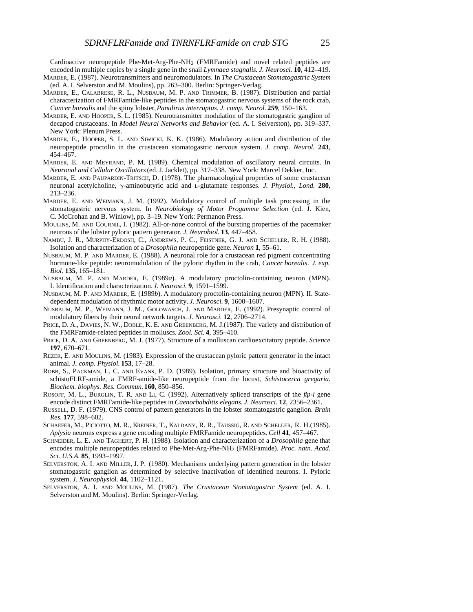Cardioactive neuropeptide Phe-Met-Arg-Phe-NH2 (FMRFamide) and novel related peptides are encoded in multiple copies by a single gene in the snail *Lymnaea stagnalis*. *J. Neurosci.* **10**, 412–419. MARDER, E. (1987). Neurotransmitters and neuromodulators. In *The Crustacean Stomatogastric System*

- (ed. A. I. Selverston and M. Moulins), pp. 263–300. Berlin: Springer-Verlag.
- MARDER, E., CALABRESE, R. L., NUSBAUM, M. P. AND TRIMMER, B. (1987). Distribution and partial characterization of FMRFamide-like peptides in the stomatogastric nervous systems of the rock crab, *Cancer borealis* and the spiny lobster, *Panulirus interruptus*. *J. comp. Neurol.* **259**, 150–163.
- MARDER, E. AND HOOPER, S. L. (1985). Neurotransmitter modulation of the stomatogastric ganglion of decapod crustaceans. In *Model Neural Networks and Behavior* (ed. A. I. Selverston), pp. 319–337. New York: Plenum Press.
- MARDER, E., HOOPER, S. L. AND SIWICKI, K. K. (1986). Modulatory action and distribution of the neuropeptide proctolin in the crustacean stomatogastric nervous system. *J. comp. Neurol.* **243**, 454–467.
- MARDER, E. AND MEYRAND, P. M. (1989). Chemical modulation of oscillatory neural circuits. In *Neuronal and Cellular Oscillators*(ed. J. Jacklet), pp. 317–338. New York: Marcel Dekker, Inc.
- MARDER, E. AND PAUPARDIN-TRITSCH, D. (1978). The pharmacological properties of some crustacean neuronal acetylcholine, g-aminobutyric acid and L-glutamate responses. *J. Physiol., Lond.* **280**, 213–236.
- MARDER, E. AND WEIMANN, J. M. (1992). Modulatory control of multiple task processing in the stomatogastric nervous system. In *Neurobiology of Motor Progamme Selection* (ed. J. Kien, C. McCrohan and B. Winlow), pp. 3–19. New York: Permanon Press.
- MOULINS, M. AND COURNIL, I. (1982). All-or-none control of the bursting properties of the pacemaker neurons of the lobster pyloric pattern generator. *J. Neurobiol.* **13**, 447–458.
- NAMBU, J. R., MURPHY-ERDOSH, C., ANDREWS, P. C., FEISTNER, G. J. AND SCHELLER, R. H. (1988). Isolation and characterization of a *Drosophila* neuropeptide gene. *Neuron* **1**, 55–61.
- NUSBAUM, M. P. AND MARDER, E. (1988). A neuronal role for a crustacean red pigment concentrating hormone-like peptide: neuromodulation of the pyloric rhythm in the crab, *Cancer borealis*. *J. exp. Biol.* **135**, 165–181.
- NUSBAUM, M. P. AND MARDER, E. (1989*a*). A modulatory proctolin-containing neuron (MPN). I. Identification and characterization. *J. Neurosci.* **9**, 1591–1599.
- NUSBAUM, M. P. AND MARDER, E. (1989*b*). A modulatory proctolin-containing neuron (MPN). II. Statedependent modulation of rhythmic motor activity. *J. Neurosci.* **9**, 1600–1607.
- NUSBAUM, M. P., WEIMANN, J. M., GOLOWASCH, J. AND MARDER, E. (1992). Presynaptic control of modulatory fibers by their neural network targets. *J. Neurosci.* **12**, 2706–2714.
- PRICE, D. A., DAVIES, N. W., DOBLE, K. E. AND GREENBERG, M. J.(1987). The variety and distribution of the FMRFamide-related peptides in molluscs. *Zool. Sci.* **4**, 395–410.
- PRICE, D. A. AND GREENBERG, M. J. (1977). Structure of a molluscan cardioexcitatory peptide. *Science* **197**, 670–671.
- REZER, E. AND MOULINS, M. (1983). Expression of the crustacean pyloric pattern generator in the intact animal. *J. comp. Physiol.* **153**, 17–28.
- ROBB, S., PACKMAN, L. C. AND EVANS, P. D. (1989). Isolation, primary structure and bioactivity of schistoFLRF-amide, a FMRF-amide-like neuropeptide from the locust, *Schistocerca gregaria*. *Biochem. biophys. Res. Commun.***160**, 850–856.
- ROSOFF, M. L., BURGLIN, T. R. AND LI, C. (1992). Alternatively spliced transcripts of the *flp-l* gene encode distinct FMRFamide-like peptides in *Caenorhabditis elegans*. *J. Neurosci.* **12**, 2356–2361.
- RUSSELL, D. F. (1979). CNS control of pattern generators in the lobster stomatogastric ganglion. *Brain Res.* **177**, 598–602.
- SCHAEFER, M., PICIOTTO, M. R., KREINER, T., KALDANY, R. R., TAUSSIG, R. AND SCHELLER, R. H.(1985). *Aplysia* neurons express a gene encoding multiple FMRFamide neuropeptides. *Cell* **41**, 457–467.
- SCHNEIDER, L. E. AND TAGHERT, P. H. (1988). Isolation and characterization of a *Drosophila* gene that encodes multiple neuropeptides related to Phe-Met-Arg-Phe-NH2 (FMRFamide). *Proc. natn. Acad. Sci. U.S.A*. **85**, 1993–1997.
- SELVERSTON, A. I. AND MILLER, J. P. (1980). Mechanisms underlying pattern generation in the lobster stomatogastric ganglion as determined by selective inactivation of identified neurons. I. Pyloric system. *J. Neurophysio*l. **44**, 1102–1121.
- SELVERSTON, A. I. AND MOULINS, M. (1987). *The Crustacean Stomatogastric System* (ed. A. I. Selverston and M. Moulins). Berlin: Springer-Verlag.